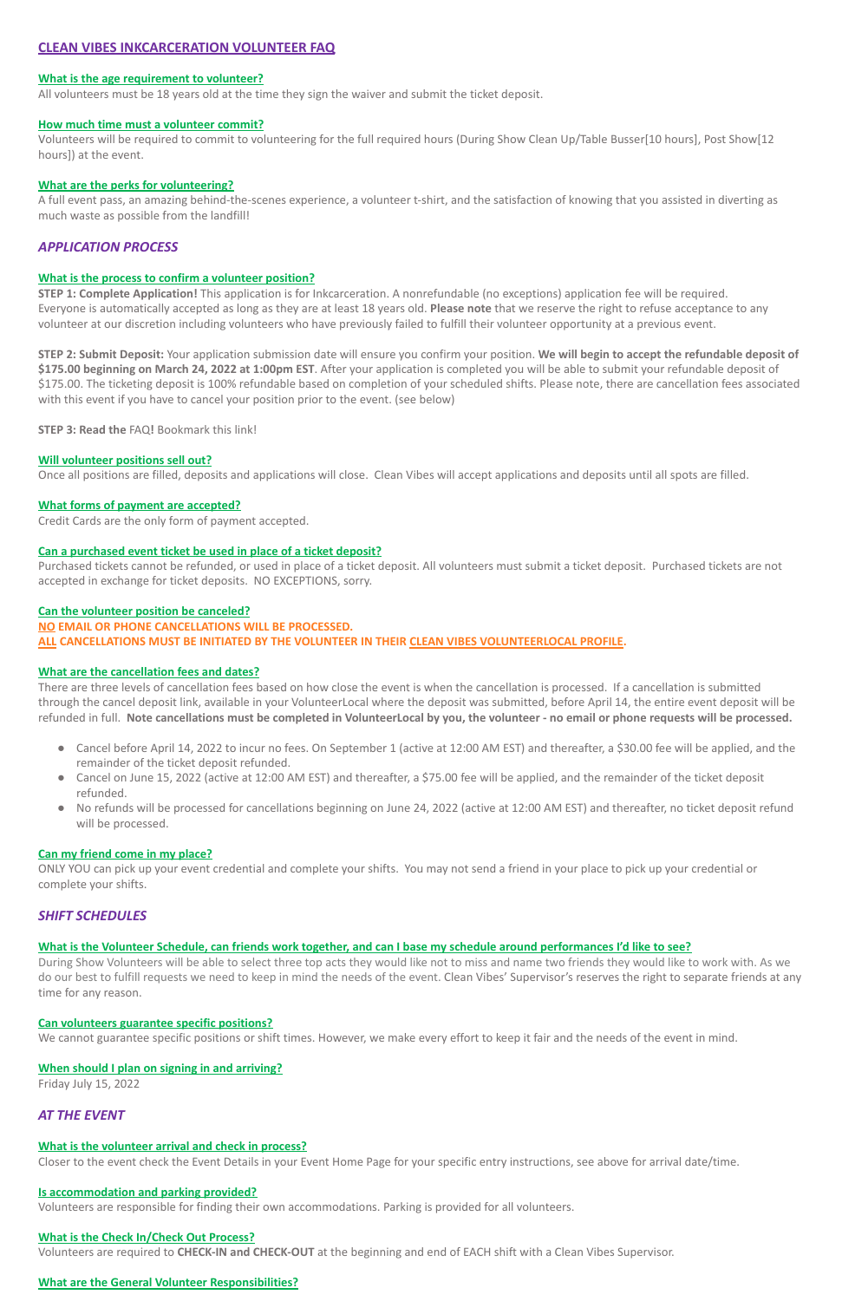# **CLEAN VIBES INKCARCERATION VOLUNTEER FAQ**

### **What is the age requirement to volunteer?**

All volunteers must be 18 years old at the time they sign the waiver and submit the ticket deposit.

### **How much time must a volunteer commit?**

Volunteers will be required to commit to volunteering for the full required hours (During Show Clean Up/Table Busser[10 hours], Post Show[12 hours]) at the event.

### **What are the perks for volunteering?**

A full event pass, an amazing behind-the-scenes experience, a volunteer t-shirt, and the satisfaction of knowing that you assisted in diverting as much waste as possible from the landfill!

# *APPLICATION PROCESS*

### **What is the process to confirm a volunteer position?**

**STEP 1: Complete Application!** This application is for Inkcarceration. A nonrefundable (no exceptions) application fee will be required. Everyone is automatically accepted as long as they are at least 18 years old. **Please note** that we reserve the right to refuse acceptance to any volunteer at our discretion including volunteers who have previously failed to fulfill their volunteer opportunity at a previous event.

**STEP 2: Submit Deposit:** Your application submission date will ensure you confirm your position. **We will begin to accept the refundable deposit of \$175.00 beginning on March 24, 2022 at 1:00pm EST**. After your application is completed you will be able to submit your refundable deposit of \$175.00. The ticketing deposit is 100% refundable based on completion of your scheduled shifts. Please note, there are cancellation fees associated with this event if you have to cancel your position prior to the event. (see below)

**STEP 3: Read the** FAQ**!** Bookmark this link!

## **Will volunteer positions sell out?**

Once all positions are filled, deposits and applications will close. Clean Vibes will accept applications and deposits until all spots are filled.

## **What forms of payment are accepted?**

Credit Cards are the only form of payment accepted.

## **Can a purchased event ticket be used in place of a ticket deposit?**

Purchased tickets cannot be refunded, or used in place of a ticket deposit. All volunteers must submit a ticket deposit. Purchased tickets are not accepted in exchange for ticket deposits. NO EXCEPTIONS, sorry.

### **Can the volunteer position be canceled?**

### **NO EMAIL OR PHONE CANCELLATIONS WILL BE PROCESSED.**

**ALL CANCELLATIONS MUST BE INITIATED BY THE VOLUNTEER IN THEIR CLEAN VIBES VOLUNTEERLOCAL PROFILE.**

## **What are the cancellation fees and dates?**

There are three levels of cancellation fees based on how close the event is when the cancellation is processed. If a cancellation is submitted through the cancel deposit link, available in your VolunteerLocal where the deposit was submitted, before April 14, the entire event deposit will be refunded in full. **Note cancellations must be completed in VolunteerLocal by you, the volunteer - no email or phone requests will be processed.**

- Cancel before April 14, 2022 to incur no fees. On September 1 (active at 12:00 AM EST) and thereafter, a \$30.00 fee will be applied, and the remainder of the ticket deposit refunded.
- Cancel on June 15, 2022 (active at 12:00 AM EST) and thereafter, a \$75.00 fee will be applied, and the remainder of the ticket deposit refunded.
- No refunds will be processed for cancellations beginning on June 24, 2022 (active at 12:00 AM EST) and thereafter, no ticket deposit refund will be processed.

### **Can my friend come in my place?**

ONLY YOU can pick up your event credential and complete your shifts. You may not send a friend in your place to pick up your credential or complete your shifts.

# *SHIFT SCHEDULES*

## **What is the Volunteer Schedule, can friends work together, and can I base my schedule around performances I'd like to see?**

During Show Volunteers will be able to select three top acts they would like not to miss and name two friends they would like to work with. As we do our best to fulfill requests we need to keep in mind the needs of the event. Clean Vibes' Supervisor's reserves the right to separate friends at any time for any reason.

### **Can volunteers guarantee specific positions?**

We cannot guarantee specific positions or shift times. However, we make every effort to keep it fair and the needs of the event in mind.

#### **When should I plan on signing in and arriving?**

Friday July 15, 2022

# *AT THE EVENT*

### **What is the volunteer arrival and check in process?**

Closer to the event check the Event Details in your Event Home Page for your specific entry instructions, see above for arrival date/time.

### **Is accommodation and parking provided?**

Volunteers are responsible for finding their own accommodations. Parking is provided for all volunteers.

### **What is the Check In/Check Out Process?**

Volunteers are required to **CHECK-IN and CHECK-OUT** at the beginning and end of EACH shift with a Clean Vibes Supervisor.

## **What are the General Volunteer Responsibilities?**